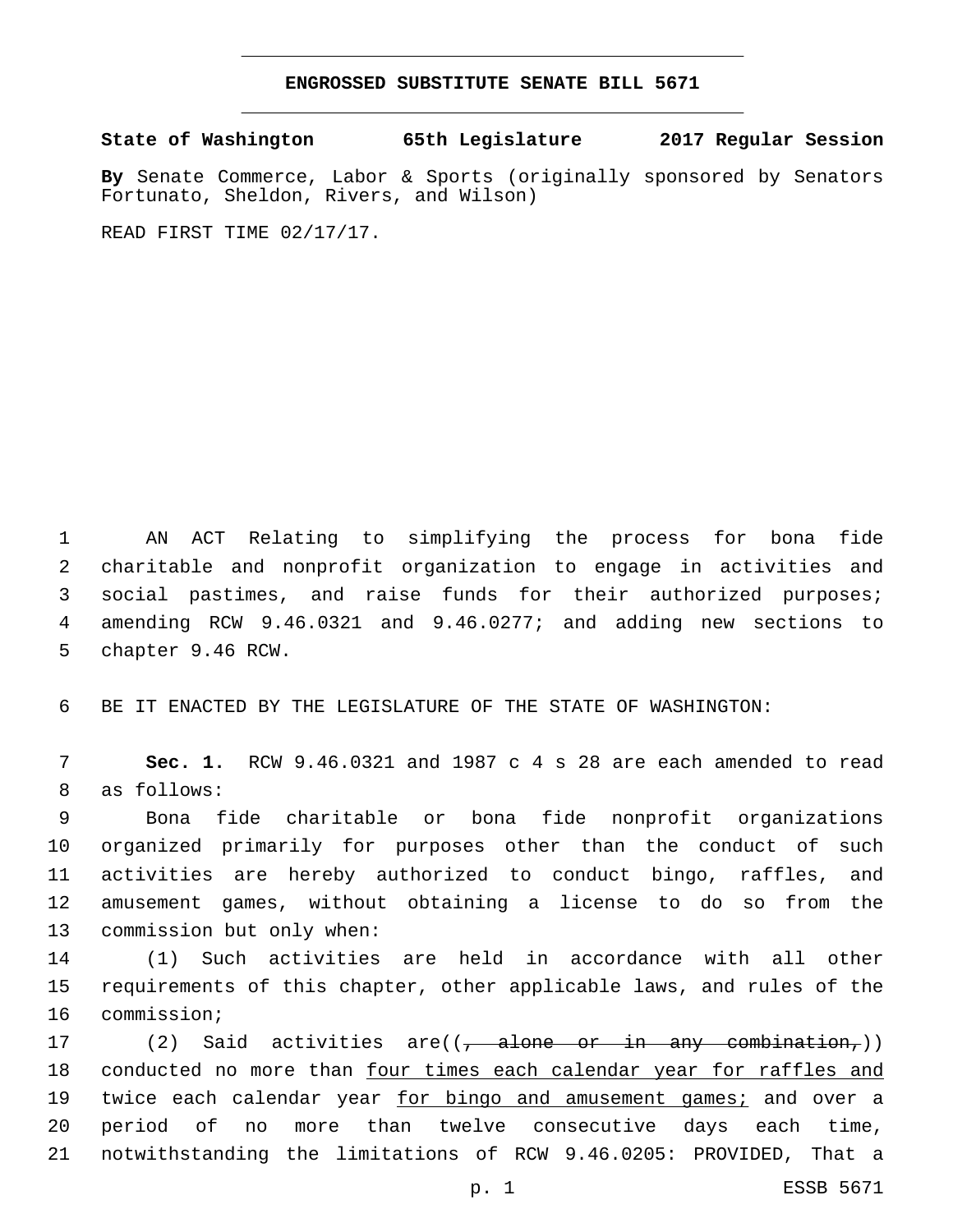## **ENGROSSED SUBSTITUTE SENATE BILL 5671**

**State of Washington 65th Legislature 2017 Regular Session**

**By** Senate Commerce, Labor & Sports (originally sponsored by Senators Fortunato, Sheldon, Rivers, and Wilson)

READ FIRST TIME 02/17/17.

 AN ACT Relating to simplifying the process for bona fide charitable and nonprofit organization to engage in activities and social pastimes, and raise funds for their authorized purposes; amending RCW 9.46.0321 and 9.46.0277; and adding new sections to 5 chapter 9.46 RCW.

6 BE IT ENACTED BY THE LEGISLATURE OF THE STATE OF WASHINGTON:

7 **Sec. 1.** RCW 9.46.0321 and 1987 c 4 s 28 are each amended to read 8 as follows:

 Bona fide charitable or bona fide nonprofit organizations organized primarily for purposes other than the conduct of such activities are hereby authorized to conduct bingo, raffles, and amusement games, without obtaining a license to do so from the 13 commission but only when:

14 (1) Such activities are held in accordance with all other 15 requirements of this chapter, other applicable laws, and rules of the 16 commission;

17 (2) Said activities are((<del>, alone or in any combination,</del>)) 18 conducted no more than four times each calendar year for raffles and 19 twice each calendar year for bingo and amusement games; and over a 20 period of no more than twelve consecutive days each time, 21 notwithstanding the limitations of RCW 9.46.0205: PROVIDED, That a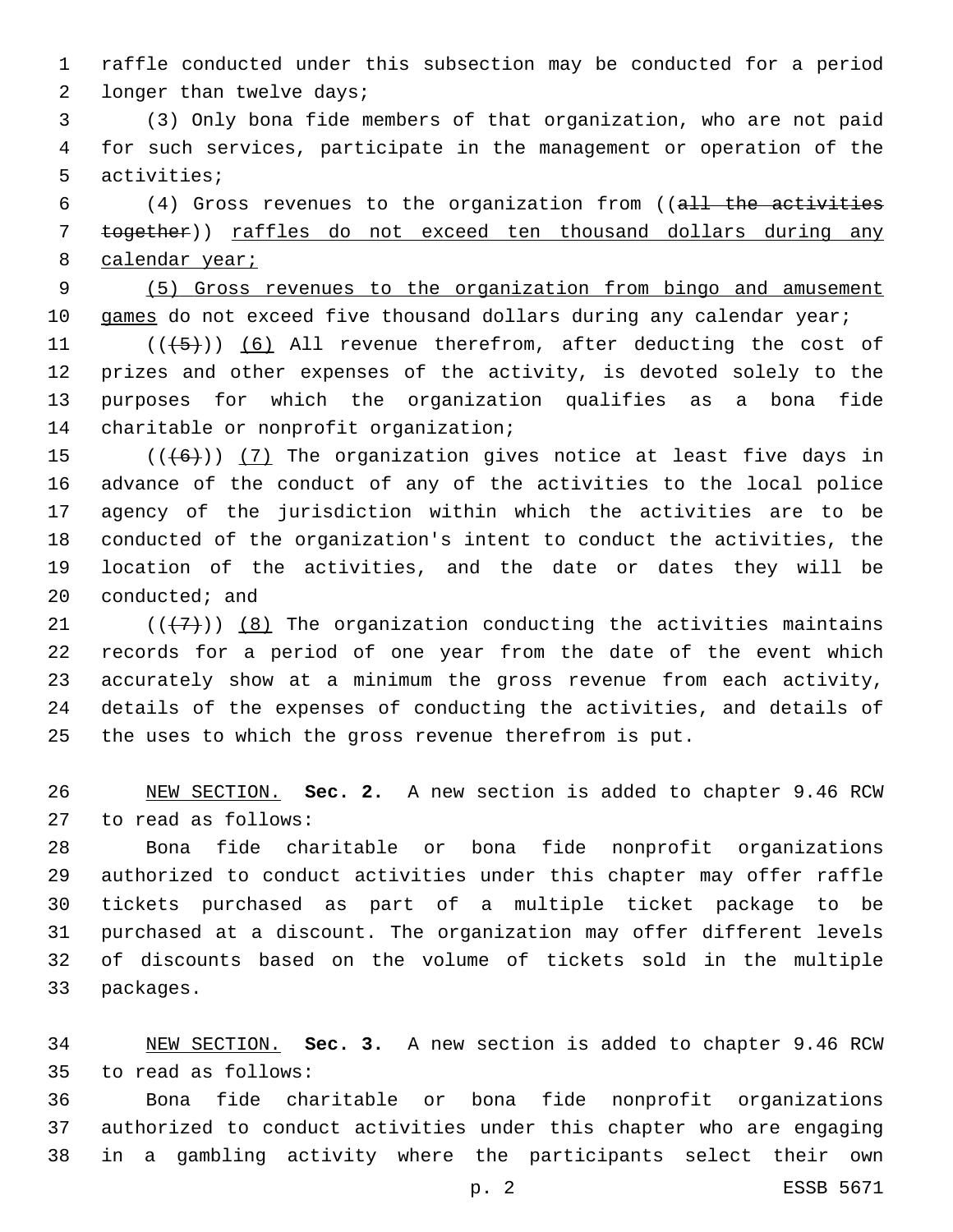raffle conducted under this subsection may be conducted for a period 2 longer than twelve days;

 (3) Only bona fide members of that organization, who are not paid for such services, participate in the management or operation of the 5 activities;

 (4) Gross revenues to the organization from ((all the activities together)) raffles do not exceed ten thousand dollars during any 8 calendar year;

 (5) Gross revenues to the organization from bingo and amusement 10 games do not exceed five thousand dollars during any calendar year;

 $((+5+))$  (6) All revenue therefrom, after deducting the cost of prizes and other expenses of the activity, is devoted solely to the purposes for which the organization qualifies as a bona fide 14 charitable or nonprofit organization;

 $((+6))$  (7) The organization gives notice at least five days in advance of the conduct of any of the activities to the local police agency of the jurisdiction within which the activities are to be conducted of the organization's intent to conduct the activities, the location of the activities, and the date or dates they will be conducted; and

 $((+7+))$  (8) The organization conducting the activities maintains records for a period of one year from the date of the event which accurately show at a minimum the gross revenue from each activity, details of the expenses of conducting the activities, and details of the uses to which the gross revenue therefrom is put.

 NEW SECTION. **Sec. 2.** A new section is added to chapter 9.46 RCW 27 to read as follows:

 Bona fide charitable or bona fide nonprofit organizations authorized to conduct activities under this chapter may offer raffle tickets purchased as part of a multiple ticket package to be purchased at a discount. The organization may offer different levels of discounts based on the volume of tickets sold in the multiple 33 packages.

 NEW SECTION. **Sec. 3.** A new section is added to chapter 9.46 RCW to read as follows:35

 Bona fide charitable or bona fide nonprofit organizations authorized to conduct activities under this chapter who are engaging in a gambling activity where the participants select their own

p. 2 ESSB 5671